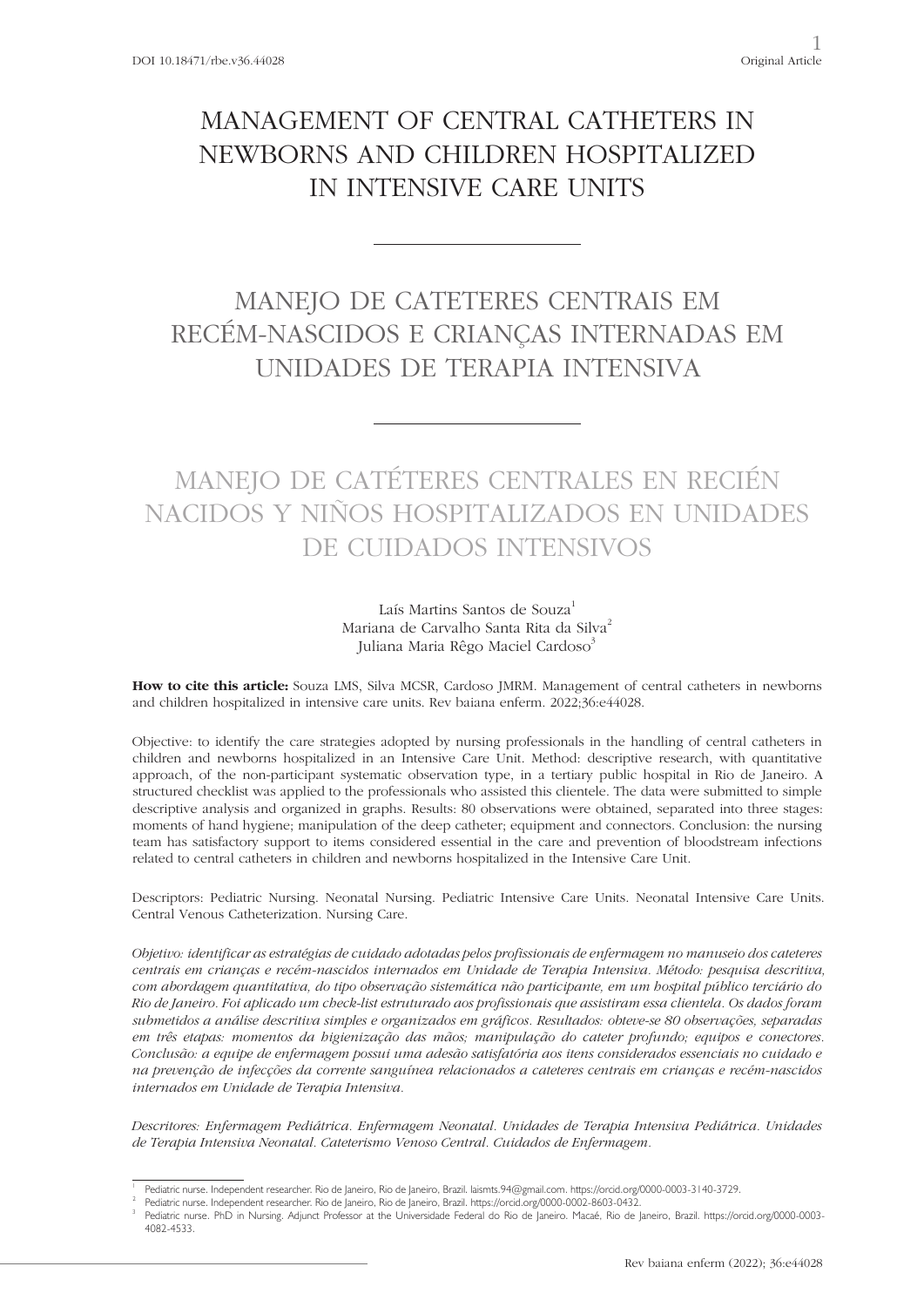# MANAGEMENT OF CENTRAL CATHETERS IN NEWBORNS AND CHILDREN HOSPITALIZED IN INTENSIVE CARE UNITS

## MANEJO DE CATETERES CENTRAIS EM RECÉM-NASCIDOS E CRIANÇAS INTERNADAS EM UNIDADES DE TERAPIA INTENSIVA

# MANEJO DE CATÉTERES CENTRALES EN RECIÉN NACIDOS Y NIÑOS HOSPITALIZADOS EN UNIDADES DE CUIDADOS INTENSIVOS

### Laís Martins Santos de Souza<sup>1</sup> Mariana de Carvalho Santa Rita da Silva<sup>2</sup> Juliana Maria Rêgo Maciel Cardoso<sup>3</sup>

**How to cite this article:** Souza LMS, Silva MCSR, Cardoso JMRM. Management of central catheters in newborns and children hospitalized in intensive care units. Rev baiana enferm. 2022;36:e44028.

Objective: to identify the care strategies adopted by nursing professionals in the handling of central catheters in children and newborns hospitalized in an Intensive Care Unit. Method: descriptive research, with quantitative approach, of the non-participant systematic observation type, in a tertiary public hospital in Rio de Janeiro. A structured checklist was applied to the professionals who assisted this clientele. The data were submitted to simple descriptive analysis and organized in graphs. Results: 80 observations were obtained, separated into three stages: moments of hand hygiene; manipulation of the deep catheter; equipment and connectors. Conclusion: the nursing team has satisfactory support to items considered essential in the care and prevention of bloodstream infections related to central catheters in children and newborns hospitalized in the Intensive Care Unit.

Descriptors: Pediatric Nursing. Neonatal Nursing. Pediatric Intensive Care Units. Neonatal Intensive Care Units. Central Venous Catheterization. Nursing Care.

*Objetivo: identificar as estratégias de cuidado adotadas pelos profissionais de enfermagem no manuseio dos cateteres centrais em crianças e recém-nascidos internados em Unidade de Terapia Intensiva. Método: pesquisa descritiva, com abordagem quantitativa, do tipo observação sistemática não participante, em um hospital público terciário do Rio de Janeiro. Foi aplicado um check-list estruturado aos profissionais que assistiram essa clientela. Os dados foram submetidos a análise descritiva simples e organizados em gráficos. Resultados: obteve-se 80 observações, separadas em três etapas: momentos da higienização das mãos; manipulação do cateter profundo; equipos e conectores. Conclusão: a equipe de enfermagem possui uma adesão satisfatória aos itens considerados essenciais no cuidado e na prevenção de infecções da corrente sanguínea relacionados a cateteres centrais em crianças e recém-nascidos internados em Unidade de Terapia Intensiva.*

*Descritores: Enfermagem Pediátrica. Enfermagem Neonatal. Unidades de Terapia Intensiva Pediátrica. Unidades de Terapia Intensiva Neonatal. Cateterismo Venoso Central. Cuidados de Enfermagem.* 

Pediatric nurse. Independent researcher. Rio de Janeiro, Rio de Janeiro, Brazil. laismts.94@gmail.com. https://orcid.org/0000-0003-3140-3729<br>Pediatric nurse. Independent researcher. Rio de Janeiro, Rio de Janeiro, Brazil.

Pediatric nurse. PhD in Nursing. Adjunct Professor at the Universidade Federal do Rio de Janeiro. Macaé, Rio de Janeiro, Brazil. https://orcid.org/0000-0003-4082-4533.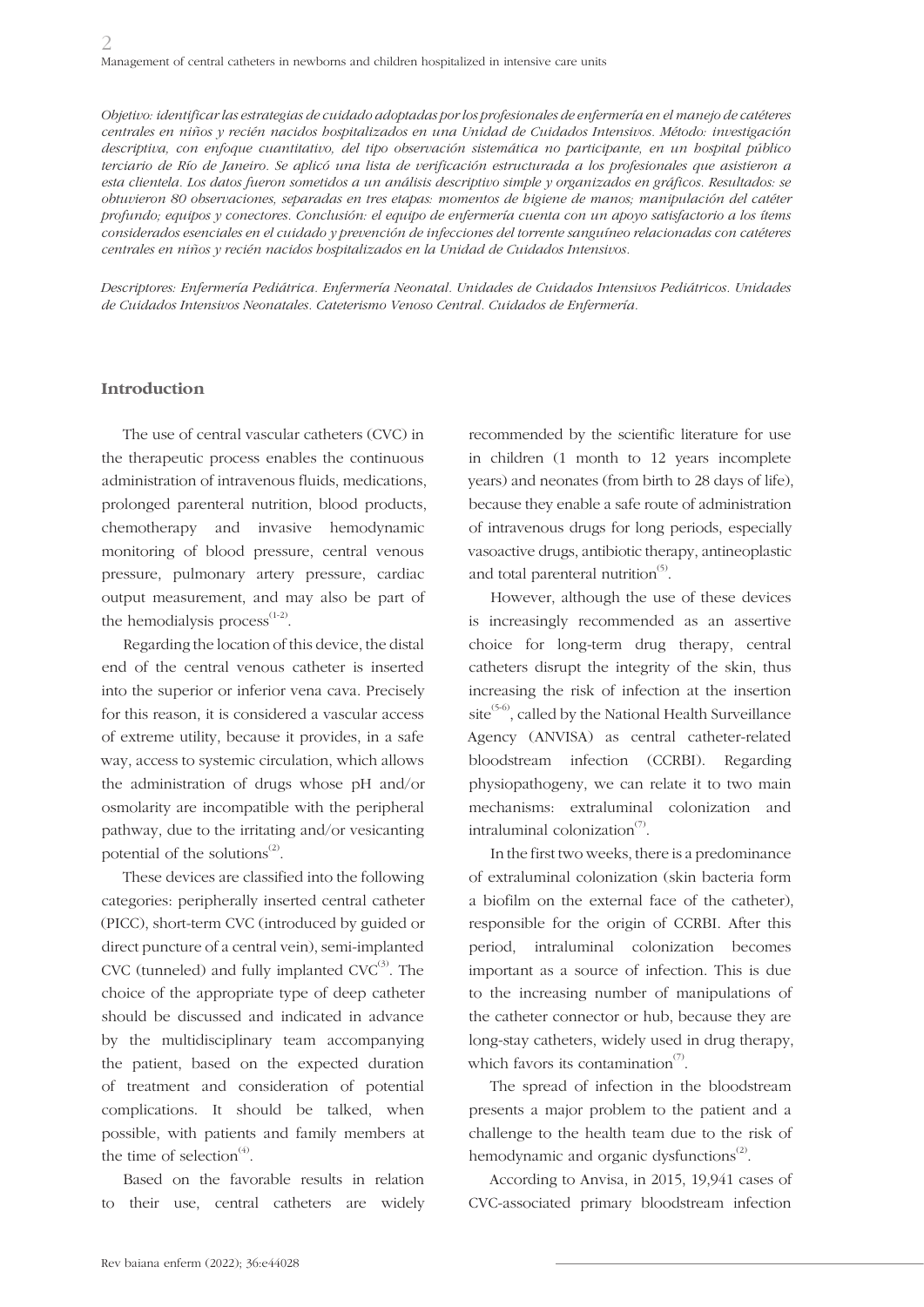*Objetivo: identificar las estrategias de cuidado adoptadas por los profesionales de enfermería en el manejo de catéteres centrales en niños y recién nacidos hospitalizados en una Unidad de Cuidados Intensivos. Método: investigación descriptiva, con enfoque cuantitativo, del tipo observación sistemática no participante, en un hospital público terciario de Río de Janeiro. Se aplicó una lista de verificación estructurada a los profesionales que asistieron a esta clientela. Los datos fueron sometidos a un análisis descriptivo simple y organizados en gráficos. Resultados: se obtuvieron 80 observaciones, separadas en tres etapas: momentos de higiene de manos; manipulación del catéter profundo; equipos y conectores. Conclusión: el equipo de enfermería cuenta con un apoyo satisfactorio a los ítems considerados esenciales en el cuidado y prevención de infecciones del torrente sanguíneo relacionadas con catéteres centrales en niños y recién nacidos hospitalizados en la Unidad de Cuidados Intensivos.*

*Descriptores: Enfermería Pediátrica. Enfermería Neonatal. Unidades de Cuidados Intensivos Pediátricos. Unidades de Cuidados Intensivos Neonatales. Cateterismo Venoso Central. Cuidados de Enfermería.*

#### **Introduction**

The use of central vascular catheters (CVC) in the therapeutic process enables the continuous administration of intravenous fluids, medications, prolonged parenteral nutrition, blood products, chemotherapy and invasive hemodynamic monitoring of blood pressure, central venous pressure, pulmonary artery pressure, cardiac output measurement, and may also be part of the hemodialysis process $^{(1-2)}$ .

Regarding the location of this device, the distal end of the central venous catheter is inserted into the superior or inferior vena cava. Precisely for this reason, it is considered a vascular access of extreme utility, because it provides, in a safe way, access to systemic circulation, which allows the administration of drugs whose pH and/or osmolarity are incompatible with the peripheral pathway, due to the irritating and/or vesicanting potential of the solutions $^{(2)}$ .

These devices are classified into the following categories: peripherally inserted central catheter (PICC), short-term CVC (introduced by guided or direct puncture of a central vein), semi-implanted CVC (tunneled) and fully implanted  $CVC^{(3)}$ . The choice of the appropriate type of deep catheter should be discussed and indicated in advance by the multidisciplinary team accompanying the patient, based on the expected duration of treatment and consideration of potential complications. It should be talked, when possible, with patients and family members at the time of selection $^{(4)}$ .

Based on the favorable results in relation to their use, central catheters are widely recommended by the scientific literature for use in children (1 month to 12 years incomplete years) and neonates (from birth to 28 days of life), because they enable a safe route of administration of intravenous drugs for long periods, especially vasoactive drugs, antibiotic therapy, antineoplastic and total parenteral nutrition $^{(5)}$ .

However, although the use of these devices is increasingly recommended as an assertive choice for long-term drug therapy, central catheters disrupt the integrity of the skin, thus increasing the risk of infection at the insertion site<sup> $(5-6)$ </sup>, called by the National Health Surveillance Agency (ANVISA) as central catheter-related bloodstream infection (CCRBI). Regarding physiopathogeny, we can relate it to two main mechanisms: extraluminal colonization and intraluminal colonization $\sigma$ .

In the first two weeks, there is a predominance of extraluminal colonization (skin bacteria form a biofilm on the external face of the catheter), responsible for the origin of CCRBI. After this period, intraluminal colonization becomes important as a source of infection. This is due to the increasing number of manipulations of the catheter connector or hub, because they are long-stay catheters, widely used in drug therapy, which favors its contamination<sup> $(7)$ </sup>.

The spread of infection in the bloodstream presents a major problem to the patient and a challenge to the health team due to the risk of hemodynamic and organic dysfunctions $^{(2)}$ .

According to Anvisa, in 2015, 19,941 cases of CVC-associated primary bloodstream infection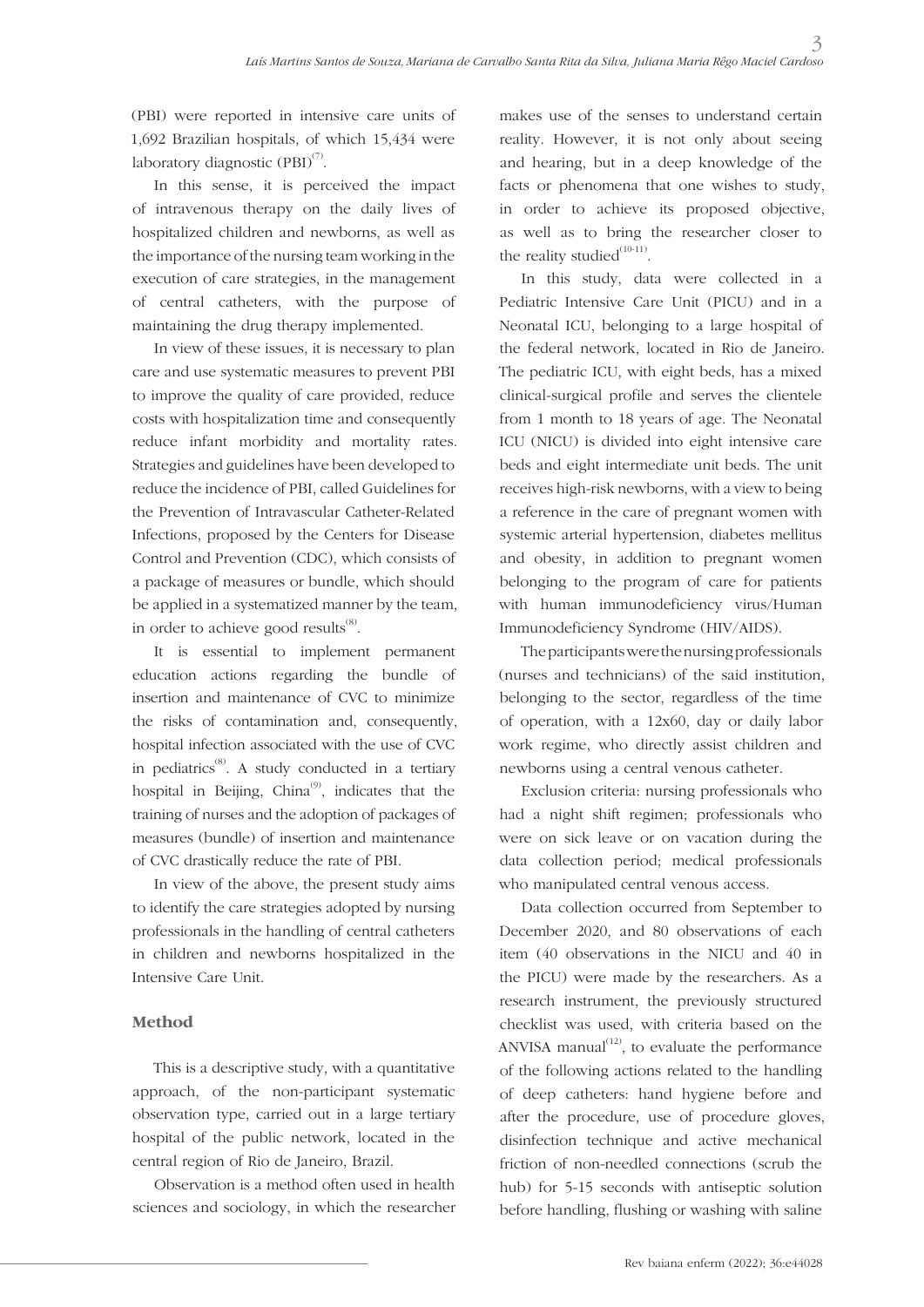(PBI) were reported in intensive care units of 1,692 Brazilian hospitals, of which 15,434 were laboratory diagnostic  $(PBI)^{(7)}$ .

In this sense, it is perceived the impact of intravenous therapy on the daily lives of hospitalized children and newborns, as well as the importance of the nursing team working in the execution of care strategies, in the management of central catheters, with the purpose of maintaining the drug therapy implemented.

In view of these issues, it is necessary to plan care and use systematic measures to prevent PBI to improve the quality of care provided, reduce costs with hospitalization time and consequently reduce infant morbidity and mortality rates. Strategies and guidelines have been developed to reduce the incidence of PBI, called Guidelines for the Prevention of Intravascular Catheter-Related Infections, proposed by the Centers for Disease Control and Prevention (CDC), which consists of a package of measures or bundle, which should be applied in a systematized manner by the team, in order to achieve good results<sup>(8)</sup>.

It is essential to implement permanent education actions regarding the bundle of insertion and maintenance of CVC to minimize the risks of contamination and, consequently, hospital infection associated with the use of CVC in pediatrics<sup>(8)</sup>. A study conducted in a tertiary hospital in Beijing, China $^{(9)}$ , indicates that the training of nurses and the adoption of packages of measures (bundle) of insertion and maintenance of CVC drastically reduce the rate of PBI.

In view of the above, the present study aims to identify the care strategies adopted by nursing professionals in the handling of central catheters in children and newborns hospitalized in the Intensive Care Unit.

## **Method**

This is a descriptive study, with a quantitative approach, of the non-participant systematic observation type, carried out in a large tertiary hospital of the public network, located in the central region of Rio de Janeiro, Brazil.

Observation is a method often used in health sciences and sociology, in which the researcher

makes use of the senses to understand certain reality. However, it is not only about seeing and hearing, but in a deep knowledge of the facts or phenomena that one wishes to study, in order to achieve its proposed objective, as well as to bring the researcher closer to the reality studied $^{(10-11)}$ .

In this study, data were collected in a Pediatric Intensive Care Unit (PICU) and in a Neonatal ICU, belonging to a large hospital of the federal network, located in Rio de Janeiro. The pediatric ICU, with eight beds, has a mixed clinical-surgical profile and serves the clientele from 1 month to 18 years of age. The Neonatal ICU (NICU) is divided into eight intensive care beds and eight intermediate unit beds. The unit receives high-risk newborns, with a view to being a reference in the care of pregnant women with systemic arterial hypertension, diabetes mellitus and obesity, in addition to pregnant women belonging to the program of care for patients with human immunodeficiency virus/Human Immunodeficiency Syndrome (HIV/AIDS).

The participants were the nursing professionals (nurses and technicians) of the said institution, belonging to the sector, regardless of the time of operation, with a 12x60, day or daily labor work regime, who directly assist children and newborns using a central venous catheter.

Exclusion criteria: nursing professionals who had a night shift regimen; professionals who were on sick leave or on vacation during the data collection period; medical professionals who manipulated central venous access.

Data collection occurred from September to December 2020, and 80 observations of each item (40 observations in the NICU and 40 in the PICU) were made by the researchers. As a research instrument, the previously structured checklist was used, with criteria based on the ANVISA manual $^{(12)}$ , to evaluate the performance of the following actions related to the handling of deep catheters: hand hygiene before and after the procedure, use of procedure gloves, disinfection technique and active mechanical friction of non-needled connections (scrub the hub) for 5-15 seconds with antiseptic solution before handling, flushing or washing with saline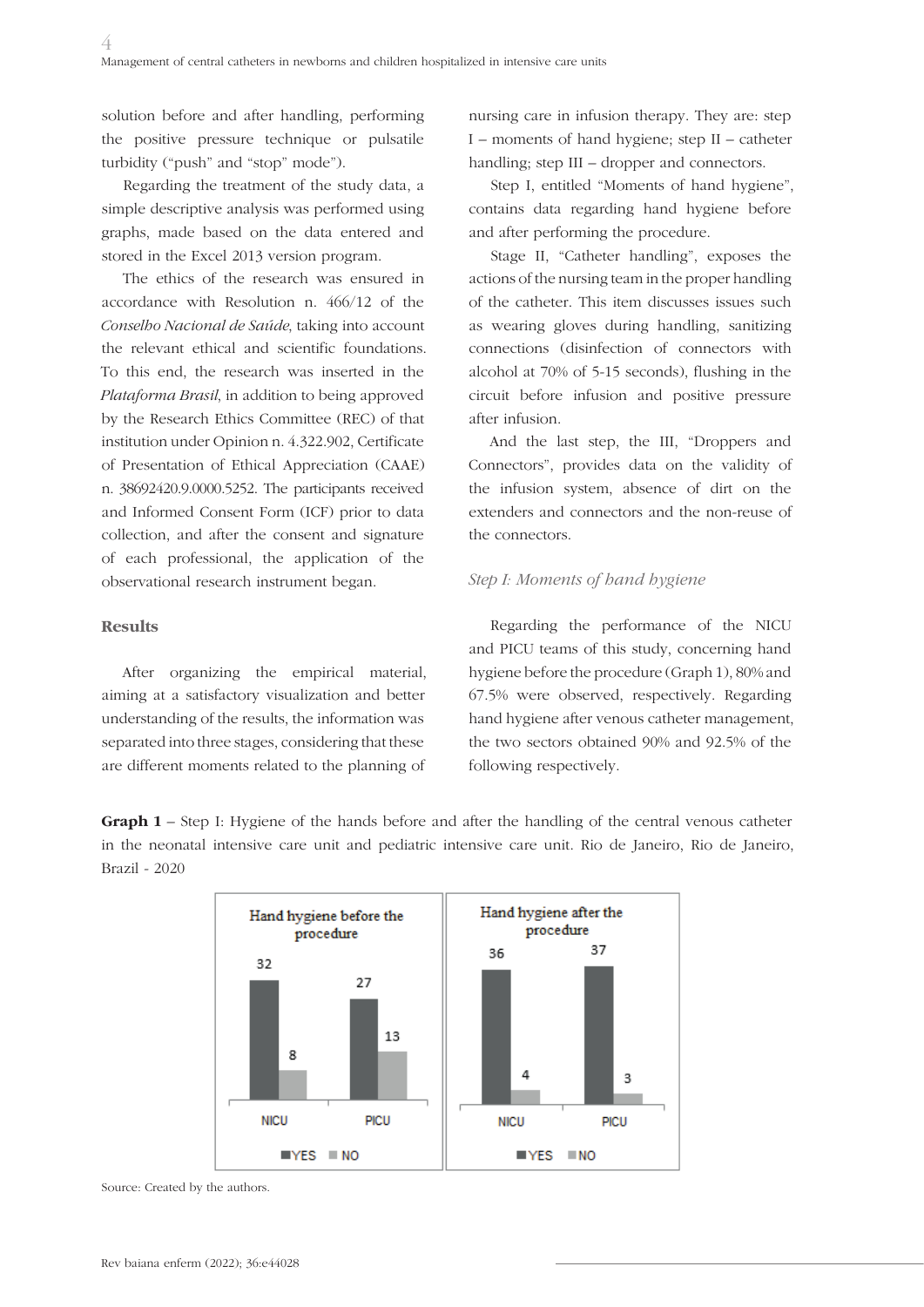solution before and after handling, performing the positive pressure technique or pulsatile turbidity ("push" and "stop" mode").

Regarding the treatment of the study data, a simple descriptive analysis was performed using graphs, made based on the data entered and stored in the Excel 2013 version program.

The ethics of the research was ensured in accordance with Resolution n. 466/12 of the *Conselho Nacional de Saúde*, taking into account the relevant ethical and scientific foundations. To this end, the research was inserted in the *Plataforma Brasil*, in addition to being approved by the Research Ethics Committee (REC) of that institution under Opinion n. 4.322.902, Certificate of Presentation of Ethical Appreciation (CAAE) n. 38692420.9.0000.5252. The participants received and Informed Consent Form (ICF) prior to data collection, and after the consent and signature of each professional, the application of the observational research instrument began.

#### **Results**

After organizing the empirical material, aiming at a satisfactory visualization and better understanding of the results, the information was separated into three stages, considering that these are different moments related to the planning of

nursing care in infusion therapy. They are: step I – moments of hand hygiene; step II – catheter handling; step III – dropper and connectors.

Step I, entitled "Moments of hand hygiene", contains data regarding hand hygiene before and after performing the procedure.

Stage II, "Catheter handling", exposes the actions of the nursing team in the proper handling of the catheter. This item discusses issues such as wearing gloves during handling, sanitizing connections (disinfection of connectors with alcohol at 70% of 5-15 seconds), flushing in the circuit before infusion and positive pressure after infusion.

And the last step, the III, "Droppers and Connectors", provides data on the validity of the infusion system, absence of dirt on the extenders and connectors and the non-reuse of the connectors.

### *Step I: Moments of hand hygiene*

Regarding the performance of the NICU and PICU teams of this study, concerning hand hygiene before the procedure (Graph 1), 80% and 67.5% were observed, respectively. Regarding hand hygiene after venous catheter management, the two sectors obtained 90% and 92.5% of the following respectively.

**Graph 1** – Step I: Hygiene of the hands before and after the handling of the central venous catheter in the neonatal intensive care unit and pediatric intensive care unit. Rio de Janeiro, Rio de Janeiro, Brazil - 2020



Source: Created by the authors.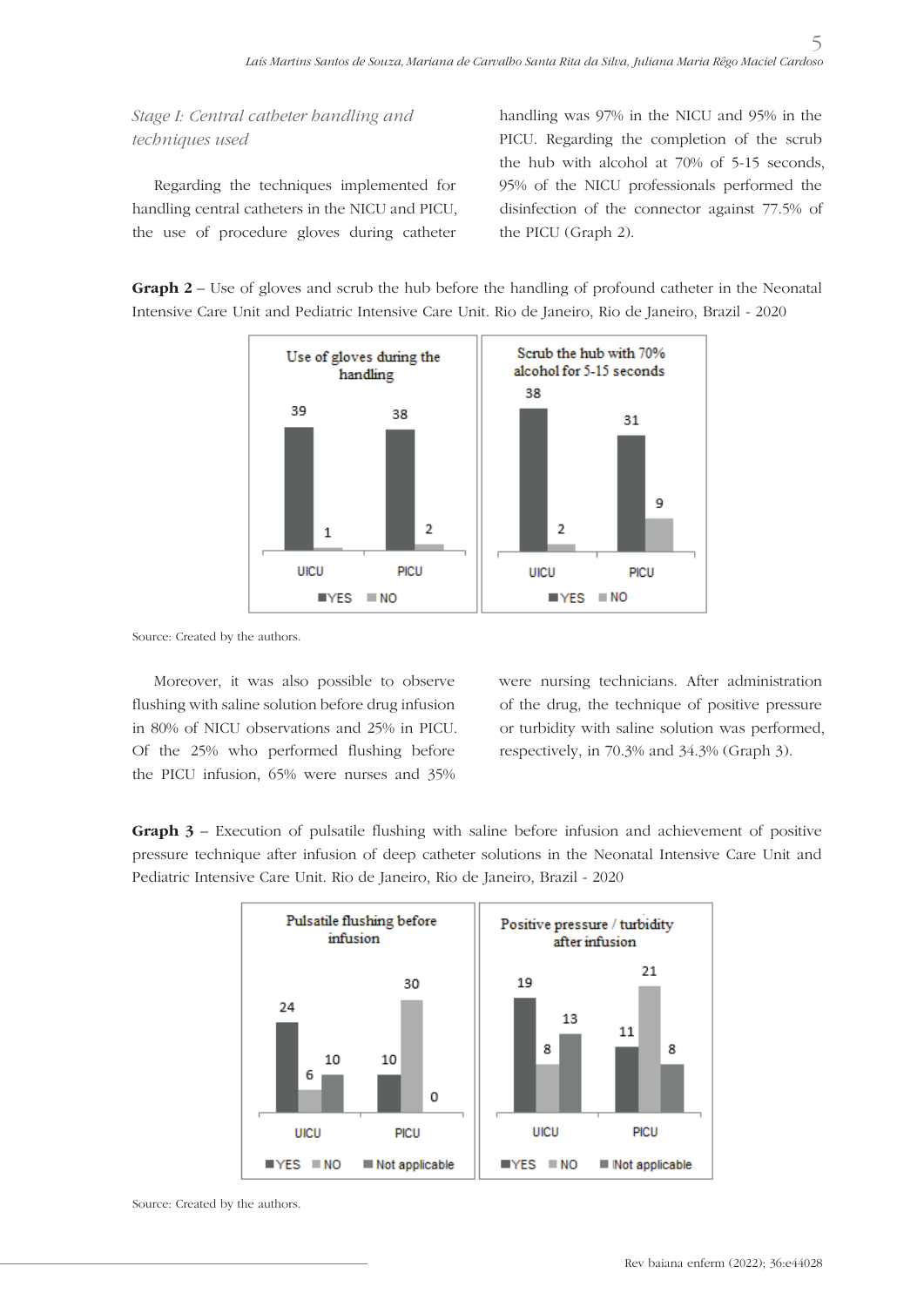*Stage I: Central catheter handling and techniques used*

Regarding the techniques implemented for handling central catheters in the NICU and PICU, the use of procedure gloves during catheter

handling was 97% in the NICU and 95% in the PICU. Regarding the completion of the scrub the hub with alcohol at 70% of 5-15 seconds, 95% of the NICU professionals performed the disinfection of the connector against 77.5% of the PICU (Graph 2).

5

**Graph 2** – Use of gloves and scrub the hub before the handling of profound catheter in the Neonatal Intensive Care Unit and Pediatric Intensive Care Unit. Rio de Janeiro, Rio de Janeiro, Brazil - 2020



Source: Created by the authors.

Moreover, it was also possible to observe flushing with saline solution before drug infusion in 80% of NICU observations and 25% in PICU. Of the 25% who performed flushing before the PICU infusion, 65% were nurses and 35%

were nursing technicians. After administration of the drug, the technique of positive pressure or turbidity with saline solution was performed, respectively, in 70.3% and 34.3% (Graph 3).

**Graph 3** – Execution of pulsatile flushing with saline before infusion and achievement of positive pressure technique after infusion of deep catheter solutions in the Neonatal Intensive Care Unit and Pediatric Intensive Care Unit. Rio de Janeiro, Rio de Janeiro, Brazil - 2020



Source: Created by the authors.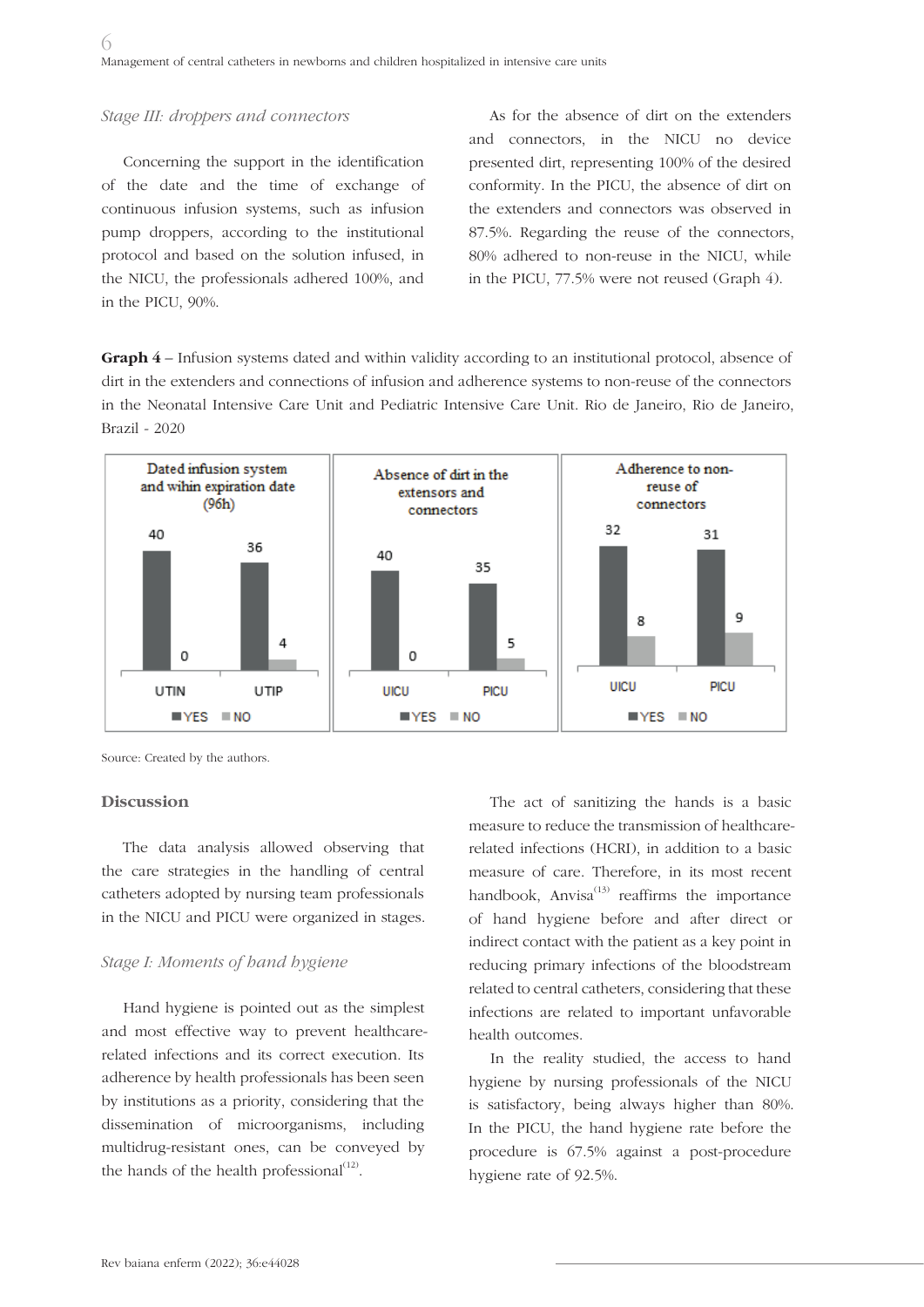#### *Stage III: droppers and connectors*

Concerning the support in the identification of the date and the time of exchange of continuous infusion systems, such as infusion pump droppers, according to the institutional protocol and based on the solution infused, in the NICU, the professionals adhered 100%, and in the PICU, 90%.

As for the absence of dirt on the extenders and connectors, in the NICU no device presented dirt, representing 100% of the desired conformity. In the PICU, the absence of dirt on the extenders and connectors was observed in 87.5%. Regarding the reuse of the connectors, 80% adhered to non-reuse in the NICU, while in the PICU, 77.5% were not reused (Graph 4).

**Graph 4** – Infusion systems dated and within validity according to an institutional protocol, absence of dirt in the extenders and connections of infusion and adherence systems to non-reuse of the connectors in the Neonatal Intensive Care Unit and Pediatric Intensive Care Unit. Rio de Janeiro, Rio de Janeiro, Brazil - 2020



Source: Created by the authors.

#### **Discussion**

The data analysis allowed observing that the care strategies in the handling of central catheters adopted by nursing team professionals in the NICU and PICU were organized in stages.

#### *Stage I: Moments of hand hygiene*

Hand hygiene is pointed out as the simplest and most effective way to prevent healthcarerelated infections and its correct execution. Its adherence by health professionals has been seen by institutions as a priority, considering that the dissemination of microorganisms, including multidrug-resistant ones, can be conveyed by the hands of the health professional $(12)$ .

The act of sanitizing the hands is a basic measure to reduce the transmission of healthcarerelated infections (HCRI), in addition to a basic measure of care. Therefore, in its most recent handbook, Anvisa $(13)$  reaffirms the importance of hand hygiene before and after direct or indirect contact with the patient as a key point in reducing primary infections of the bloodstream related to central catheters, considering that these infections are related to important unfavorable health outcomes.

In the reality studied, the access to hand hygiene by nursing professionals of the NICU is satisfactory, being always higher than 80%. In the PICU, the hand hygiene rate before the procedure is 67.5% against a post-procedure hygiene rate of 92.5%.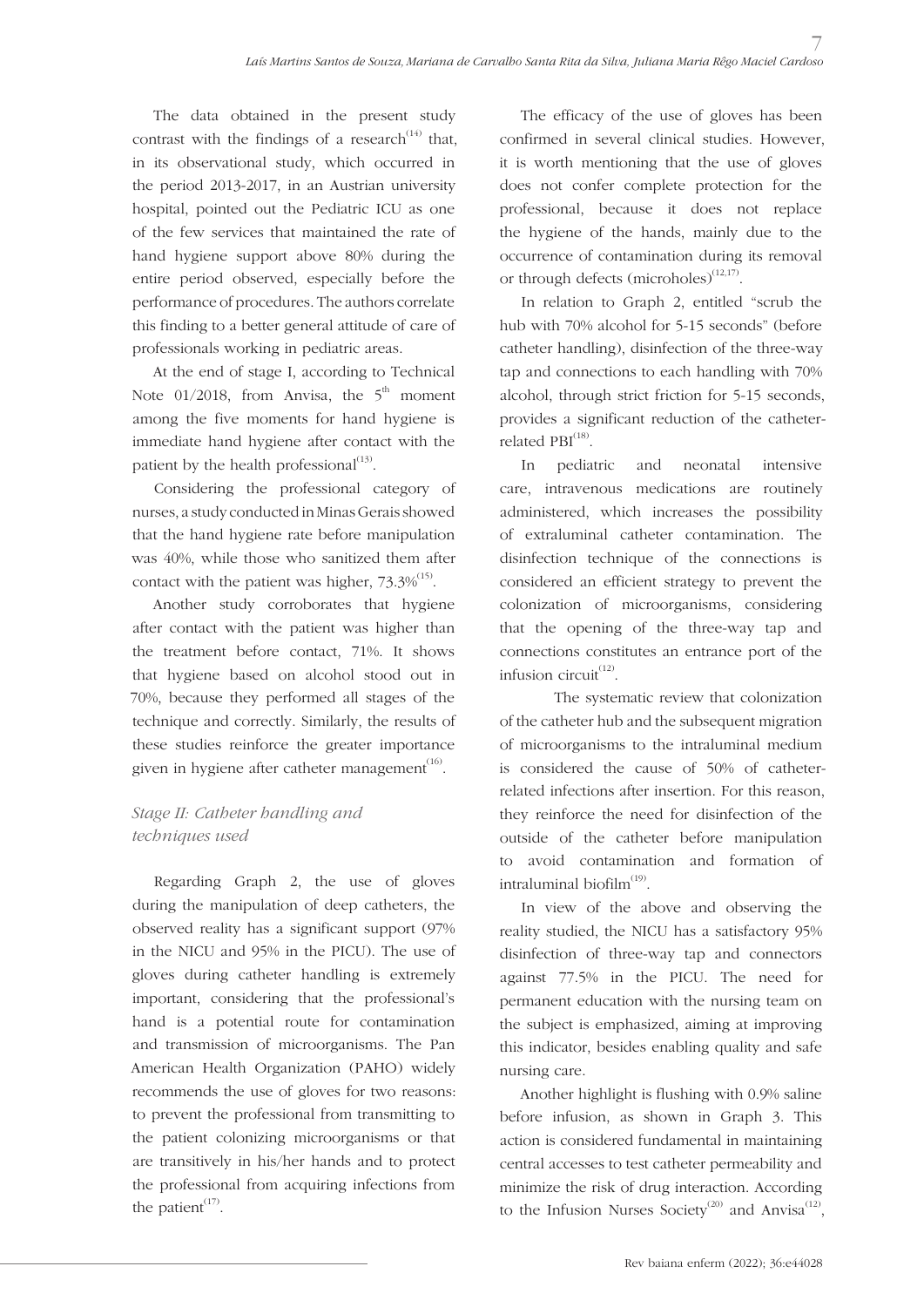The data obtained in the present study contrast with the findings of a research<sup> $(14)$ </sup> that, in its observational study, which occurred in the period 2013-2017, in an Austrian university hospital, pointed out the Pediatric ICU as one of the few services that maintained the rate of hand hygiene support above 80% during the entire period observed, especially before the performance of procedures. The authors correlate this finding to a better general attitude of care of professionals working in pediatric areas.

At the end of stage I, according to Technical Note  $01/2018$ , from Anvisa, the  $5<sup>th</sup>$  moment among the five moments for hand hygiene is immediate hand hygiene after contact with the patient by the health professional $^{(13)}$ .

Considering the professional category of nurses, a study conducted in Minas Gerais showed that the hand hygiene rate before manipulation was 40%, while those who sanitized them after contact with the patient was higher,  $73.3\%^{(15)}$ .

Another study corroborates that hygiene after contact with the patient was higher than the treatment before contact, 71%. It shows that hygiene based on alcohol stood out in 70%, because they performed all stages of the technique and correctly. Similarly, the results of these studies reinforce the greater importance given in hygiene after catheter management $^{(16)}$ .

## *Stage II: Catheter handling and techniques used*

Regarding Graph 2, the use of gloves during the manipulation of deep catheters, the observed reality has a significant support (97% in the NICU and 95% in the PICU). The use of gloves during catheter handling is extremely important, considering that the professional's hand is a potential route for contamination and transmission of microorganisms. The Pan American Health Organization (PAHO) widely recommends the use of gloves for two reasons: to prevent the professional from transmitting to the patient colonizing microorganisms or that are transitively in his/her hands and to protect the professional from acquiring infections from the patient $(17)$ .

The efficacy of the use of gloves has been confirmed in several clinical studies. However, it is worth mentioning that the use of gloves does not confer complete protection for the professional, because it does not replace the hygiene of the hands, mainly due to the occurrence of contamination during its removal or through defects  $(microholes)^{(12,17)}$ .

In relation to Graph 2, entitled "scrub the hub with 70% alcohol for 5-15 seconds" (before catheter handling), disinfection of the three-way tap and connections to each handling with 70% alcohol, through strict friction for 5-15 seconds, provides a significant reduction of the catheterrelated PBI<sup>(18)</sup>.

In pediatric and neonatal intensive care, intravenous medications are routinely administered, which increases the possibility of extraluminal catheter contamination. The disinfection technique of the connections is considered an efficient strategy to prevent the colonization of microorganisms, considering that the opening of the three-way tap and connections constitutes an entrance port of the infusion circuit $^{(12)}$ .

The systematic review that colonization of the catheter hub and the subsequent migration of microorganisms to the intraluminal medium is considered the cause of 50% of catheterrelated infections after insertion. For this reason, they reinforce the need for disinfection of the outside of the catheter before manipulation to avoid contamination and formation of intraluminal biofilm $^{(19)}$ .

In view of the above and observing the reality studied, the NICU has a satisfactory 95% disinfection of three-way tap and connectors against 77.5% in the PICU. The need for permanent education with the nursing team on the subject is emphasized, aiming at improving this indicator, besides enabling quality and safe nursing care.

Another highlight is flushing with 0.9% saline before infusion, as shown in Graph 3. This action is considered fundamental in maintaining central accesses to test catheter permeability and minimize the risk of drug interaction. According to the Infusion Nurses Society<sup>(20)</sup> and Anvisa<sup>(12)</sup>,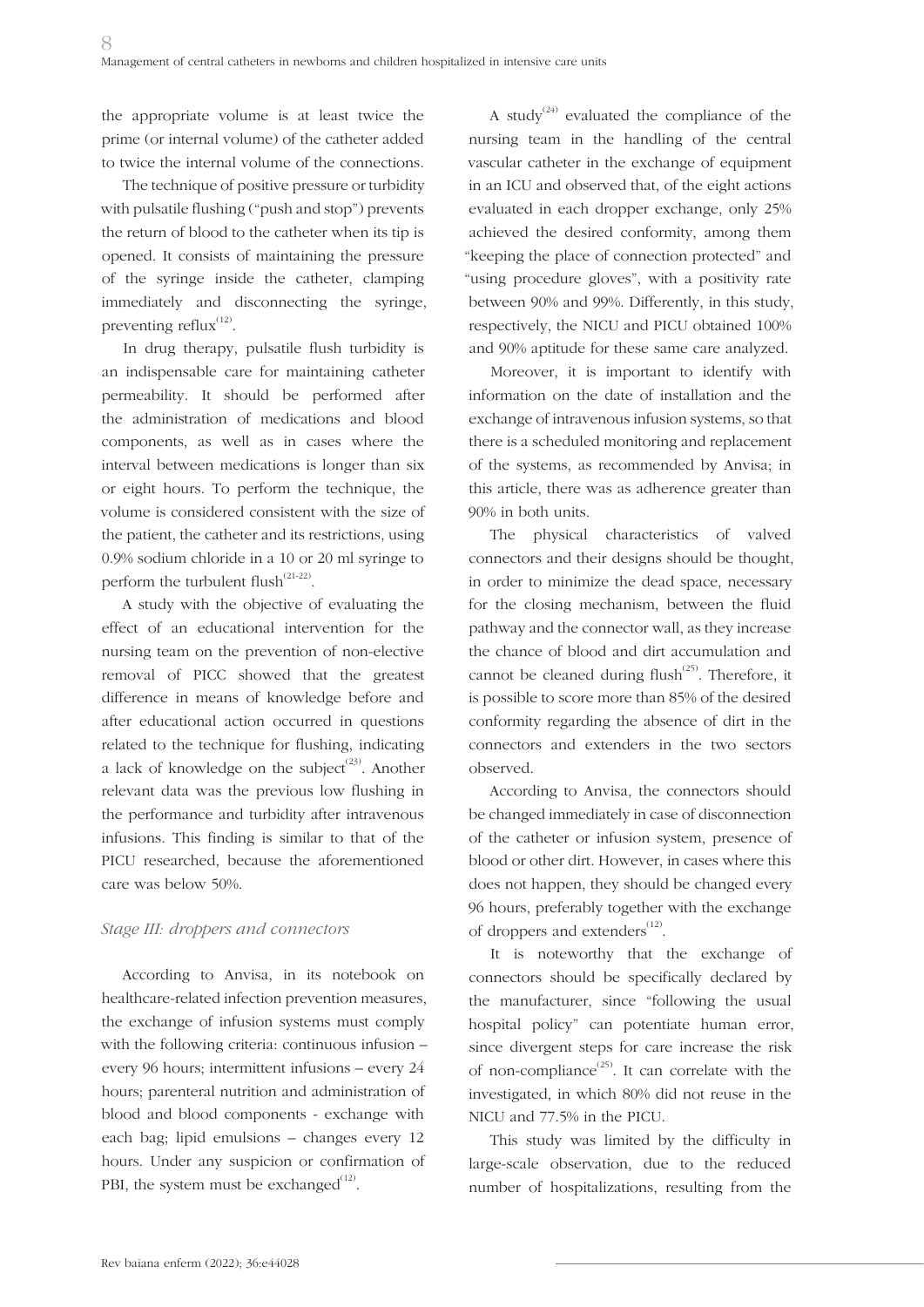the appropriate volume is at least twice the prime (or internal volume) of the catheter added to twice the internal volume of the connections.

The technique of positive pressure or turbidity with pulsatile flushing ("push and stop") prevents the return of blood to the catheter when its tip is opened. It consists of maintaining the pressure of the syringe inside the catheter, clamping immediately and disconnecting the syringe, preventing reflux $^{(12)}$ .

In drug therapy, pulsatile flush turbidity is an indispensable care for maintaining catheter permeability. It should be performed after the administration of medications and blood components, as well as in cases where the interval between medications is longer than six or eight hours. To perform the technique, the volume is considered consistent with the size of the patient, the catheter and its restrictions, using 0.9% sodium chloride in a 10 or 20 ml syringe to perform the turbulent flush $^{(21-22)}$ .

A study with the objective of evaluating the effect of an educational intervention for the nursing team on the prevention of non-elective removal of PICC showed that the greatest difference in means of knowledge before and after educational action occurred in questions related to the technique for flushing, indicating a lack of knowledge on the subject<sup> $(23)$ </sup>. Another relevant data was the previous low flushing in the performance and turbidity after intravenous infusions. This finding is similar to that of the PICU researched, because the aforementioned care was below 50%.

## *Stage III: droppers and connectors*

According to Anvisa, in its notebook on healthcare-related infection prevention measures, the exchange of infusion systems must comply with the following criteria: continuous infusion – every 96 hours; intermittent infusions – every 24 hours; parenteral nutrition and administration of blood and blood components - exchange with each bag; lipid emulsions – changes every 12 hours. Under any suspicion or confirmation of PBI, the system must be exchanged $^{(12)}$ .

A study<sup> $(24)$ </sup> evaluated the compliance of the nursing team in the handling of the central vascular catheter in the exchange of equipment in an ICU and observed that, of the eight actions evaluated in each dropper exchange, only 25% achieved the desired conformity, among them "keeping the place of connection protected" and "using procedure gloves", with a positivity rate between 90% and 99%. Differently, in this study, respectively, the NICU and PICU obtained 100% and 90% aptitude for these same care analyzed.

Moreover, it is important to identify with information on the date of installation and the exchange of intravenous infusion systems, so that there is a scheduled monitoring and replacement of the systems, as recommended by Anvisa; in this article, there was as adherence greater than 90% in both units.

The physical characteristics of valved connectors and their designs should be thought, in order to minimize the dead space, necessary for the closing mechanism, between the fluid pathway and the connector wall, as they increase the chance of blood and dirt accumulation and cannot be cleaned during flush<sup> $(25)$ </sup>. Therefore, it is possible to score more than 85% of the desired conformity regarding the absence of dirt in the connectors and extenders in the two sectors observed.

According to Anvisa, the connectors should be changed immediately in case of disconnection of the catheter or infusion system, presence of blood or other dirt. However, in cases where this does not happen, they should be changed every 96 hours, preferably together with the exchange of droppers and extenders<sup>(12)</sup>.

It is noteworthy that the exchange of connectors should be specifically declared by the manufacturer, since "following the usual hospital policy" can potentiate human error, since divergent steps for care increase the risk of non-compliance<sup> $(25)$ </sup>. It can correlate with the investigated, in which 80% did not reuse in the NICU and 77.5% in the PICU.

This study was limited by the difficulty in large-scale observation, due to the reduced number of hospitalizations, resulting from the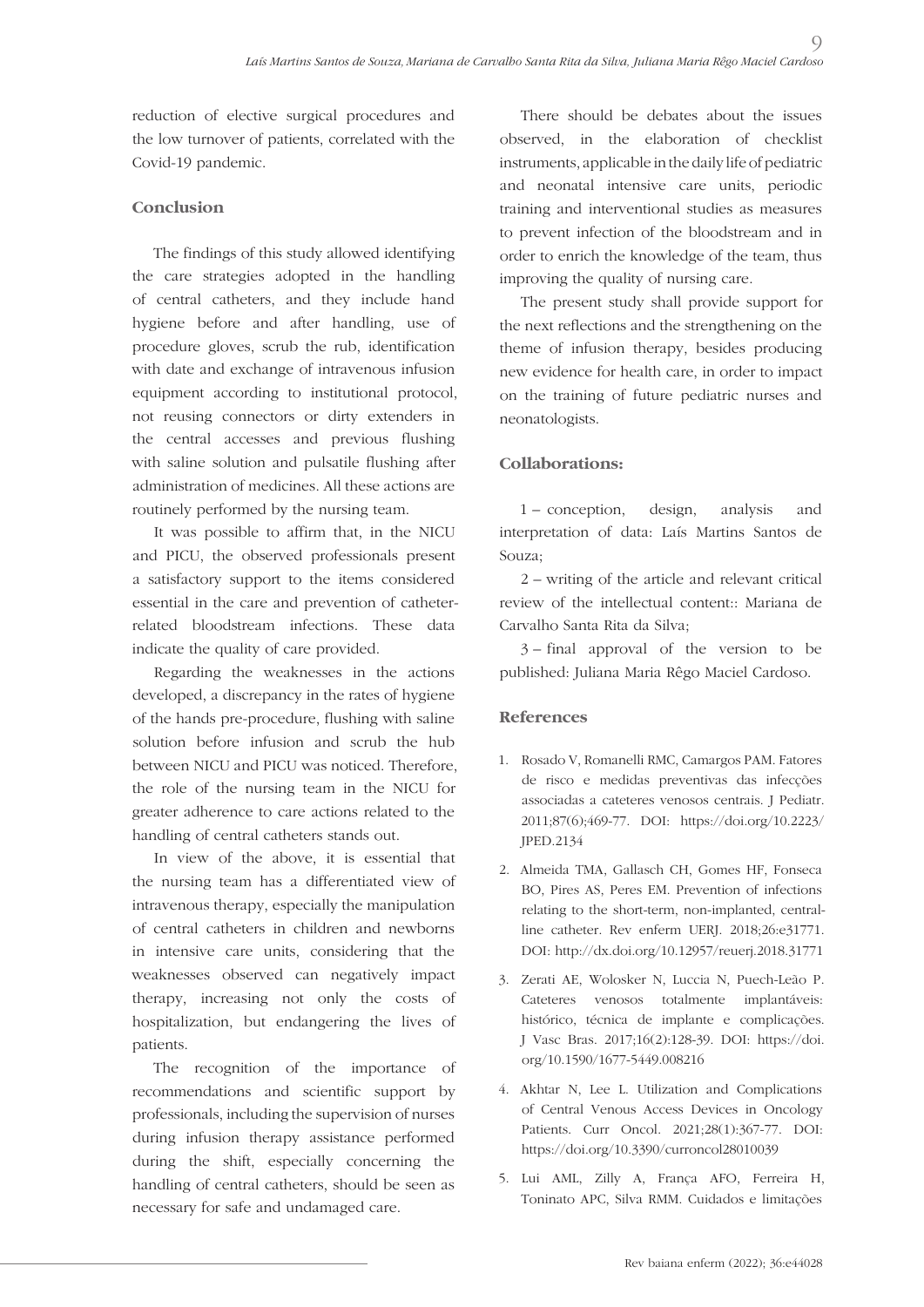reduction of elective surgical procedures and the low turnover of patients, correlated with the Covid-19 pandemic.

## **Conclusion**

The findings of this study allowed identifying the care strategies adopted in the handling of central catheters, and they include hand hygiene before and after handling, use of procedure gloves, scrub the rub, identification with date and exchange of intravenous infusion equipment according to institutional protocol, not reusing connectors or dirty extenders in the central accesses and previous flushing with saline solution and pulsatile flushing after administration of medicines. All these actions are routinely performed by the nursing team.

It was possible to affirm that, in the NICU and PICU, the observed professionals present a satisfactory support to the items considered essential in the care and prevention of catheterrelated bloodstream infections. These data indicate the quality of care provided.

Regarding the weaknesses in the actions developed, a discrepancy in the rates of hygiene of the hands pre-procedure, flushing with saline solution before infusion and scrub the hub between NICU and PICU was noticed. Therefore, the role of the nursing team in the NICU for greater adherence to care actions related to the handling of central catheters stands out.

In view of the above, it is essential that the nursing team has a differentiated view of intravenous therapy, especially the manipulation of central catheters in children and newborns in intensive care units, considering that the weaknesses observed can negatively impact therapy, increasing not only the costs of hospitalization, but endangering the lives of patients.

The recognition of the importance of recommendations and scientific support by professionals, including the supervision of nurses during infusion therapy assistance performed during the shift, especially concerning the handling of central catheters, should be seen as necessary for safe and undamaged care.

There should be debates about the issues observed, in the elaboration of checklist instruments, applicable in the daily life of pediatric and neonatal intensive care units, periodic training and interventional studies as measures to prevent infection of the bloodstream and in order to enrich the knowledge of the team, thus improving the quality of nursing care.

 $\overline{O}$ 

The present study shall provide support for the next reflections and the strengthening on the theme of infusion therapy, besides producing new evidence for health care, in order to impact on the training of future pediatric nurses and neonatologists.

## **Collaborations:**

1 – conception, design, analysis and interpretation of data: Laís Martins Santos de Souza;

2 – writing of the article and relevant critical review of the intellectual content:: Mariana de Carvalho Santa Rita da Silva;

3 – final approval of the version to be published: Juliana Maria Rêgo Maciel Cardoso.

## **References**

- 1. Rosado V, Romanelli RMC, Camargos PAM. Fatores de risco e medidas preventivas das infecções associadas a cateteres venosos centrais. J Pediatr. 2011;87(6);469-77. DOI: https://doi.org/10.2223/ JPED.2134
- 2. Almeida TMA, Gallasch CH, Gomes HF, Fonseca BO, Pires AS, Peres EM. Prevention of infections relating to the short-term, non-implanted, centralline catheter. Rev enferm UERJ. 2018;26:e31771. DOI: http://dx.doi.org/10.12957/reuerj.2018.31771
- 3. Zerati AE, Wolosker N, Luccia N, Puech-Leão P. Cateteres venosos totalmente implantáveis: histórico, técnica de implante e complicações. J Vasc Bras. 2017;16(2):128-39. DOI: https://doi. org/10.1590/1677-5449.008216
- 4. Akhtar N, Lee L. Utilization and Complications of Central Venous Access Devices in Oncology Patients. Curr Oncol. 2021;28(1):367-77. DOI: https://doi.org/10.3390/curroncol28010039
- 5. Lui AML, Zilly A, França AFO, Ferreira H, Toninato APC, Silva RMM. Cuidados e limitações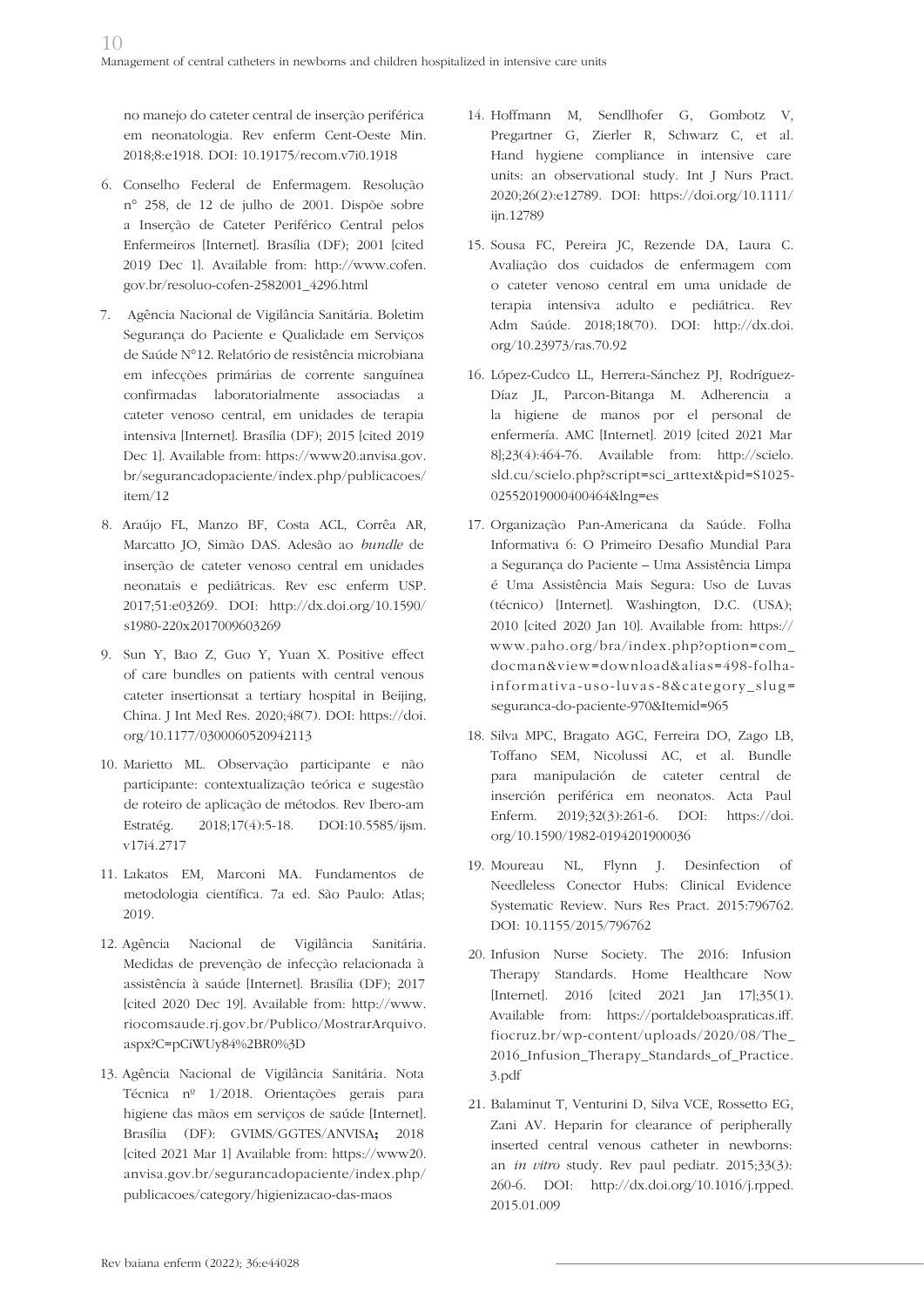no manejo do cateter central de inserção periférica em neonatologia. Rev enferm Cent-Oeste Min. 2018;8:e1918. DOI: 10.19175/recom.v7i0.1918

- 6. Conselho Federal de Enfermagem. Resolução n° 258, de 12 de julho de 2001. Dispõe sobre a Inserção de Cateter Periférico Central pelos Enfermeiros [Internet]. Brasília (DF); 2001 [cited 2019 Dec 1]. Available from: http://www.cofen. gov.br/resoluo-cofen-2582001\_4296.html
- 7. Agência Nacional de Vigilância Sanitária. Boletim Segurança do Paciente e Qualidade em Serviços de Saúde N°12. Relatório de resistência microbiana em infecções primárias de corrente sanguínea confirmadas laboratorialmente associadas a cateter venoso central, em unidades de terapia intensiva [Internet]. Brasília (DF); 2015 [cited 2019 Dec 1]. Available from: https://www20.anvisa.gov. br/segurancadopaciente/index.php/publicacoes/ item/12
- 8. Araújo FL, Manzo BF, Costa ACL, Corrêa AR, Marcatto JO, Simão DAS. Adesão ao *bundle* de inserção de cateter venoso central em unidades neonatais e pediátricas. Rev esc enferm USP. 2017;51:e03269. DOI: http://dx.doi.org/10.1590/ s1980-220x2017009603269
- 9. Sun Y, Bao Z, Guo Y, Yuan X. Positive effect of care bundles on patients with central venous cateter insertionsat a tertiary hospital in Beijing, China. J Int Med Res. 2020;48(7). DOI: https://doi. org/10.1177/0300060520942113
- 10. Marietto ML. Observação participante e não participante: contextualização teórica e sugestão de roteiro de aplicação de métodos. Rev Ibero-am Estratég. 2018;17(4):5-18. DOI:10.5585/ijsm. v17i4.2717
- 11. Lakatos EM, Marconi MA. Fundamentos de metodologia científica. 7a ed. São Paulo: Atlas; 2019.
- 12. Agência Nacional de Vigilância Sanitária. Medidas de prevenção de infecção relacionada à assistência à saúde [Internet]. Brasília (DF); 2017 [cited 2020 Dec 19]. Available from: http://www. riocomsaude.rj.gov.br/Publico/MostrarArquivo. aspx?C=pCiWUy84%2BR0%3D
- 13. Agência Nacional de Vigilância Sanitária. Nota Técnica nº 1/2018. Orientações gerais para higiene das mãos em serviços de saúde [Internet]. Brasília (DF): GVIMS/GGTES/ANVISA**;** 2018 [cited 2021 Mar 1] Available from: https://www20. anvisa.gov.br/segurancadopaciente/index.php/ publicacoes/category/higienizacao-das-maos
- 14. Hoffmann M, Sendlhofer G, Gombotz V, Pregartner G, Zierler R, Schwarz C, et al. Hand hygiene compliance in intensive care units: an observational study. Int J Nurs Pract. 2020;26(2):e12789. DOI: https://doi.org/10.1111/ iin.12789
- 15. Sousa FC, Pereira JC, Rezende DA, Laura C. Avaliação dos cuidados de enfermagem com o cateter venoso central em uma unidade de terapia intensiva adulto e pediátrica. Rev Adm Saúde. 2018;18(70). DOI: http://dx.doi. org/10.23973/ras.70.92
- 16. López-Cudco LL, Herrera-Sánchez PJ, Rodríguez-Díaz JL, Parcon-Bitanga M. Adherencia a la higiene de manos por el personal de enfermería. AMC [Internet]. 2019 [cited 2021 Mar 8];23(4):464-76. Available from: http://scielo. sld.cu/scielo.php?script=sci\_arttext&pid=S1025- 02552019000400464&lng=es
- 17. Organização Pan-Americana da Saúde. Folha Informativa 6: O Primeiro Desafio Mundial Para a Segurança do Paciente – Uma Assistência Limpa é Uma Assistência Mais Segura: Uso de Luvas (técnico) [Internet]. Washington, D.C. (USA); 2010 [cited 2020 Jan 10]. Available from: https:// www.paho.org/bra/index.php?option=com\_ docman&view=download&alias=498-folhainformativa-uso-luvas-8&category\_slug= seguranca-do-paciente-970&Itemid=965
- 18. Silva MPC, Bragato AGC, Ferreira DO, Zago LB, Toffano SEM, Nicolussi AC, et al. Bundle para manipulación de cateter central de inserción periférica em neonatos. Acta Paul Enferm. 2019;32(3):261-6. DOI: https://doi. org/10.1590/1982-0194201900036
- 19. Moureau NL, Flynn J. Desinfection of Needleless Conector Hubs: Clinical Evidence Systematic Review. Nurs Res Pract. 2015:796762. DOI: 10.1155/2015/796762
- 20. Infusion Nurse Society. The 2016: Infusion Therapy Standards. Home Healthcare Now [Internet]. 2016 [cited 2021 Jan 17];35(1). Available from: https://portaldeboaspraticas.iff. fiocruz.br/wp-content/uploads/2020/08/The\_ 2016\_Infusion\_Therapy\_Standards\_of\_Practice. 3.pdf
- 21. Balaminut T, Venturini D, Silva VCE, Rossetto EG, Zani AV. Heparin for clearance of peripherally inserted central venous catheter in newborns: an *in vitro* study. Rev paul pediatr. 2015;33(3): 260-6. DOI: http://dx.doi.org/10.1016/j.rpped. 2015.01.009